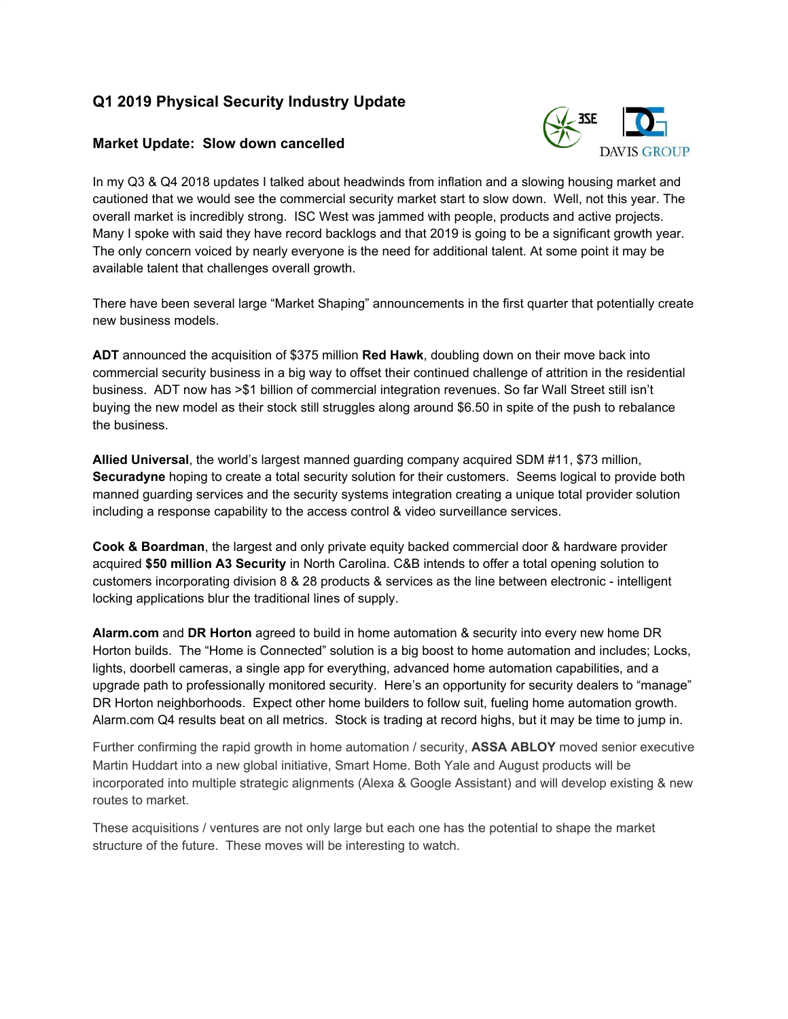# **Q1 2019 Physical Security Industry Update**

### **Market Update: Slow down cancelled**



In my Q3 & Q4 2018 updates I talked about headwinds from inflation and a slowing housing market and cautioned that we would see the commercial security market start to slow down. Well, not this year. The overall market is incredibly strong. ISC West was jammed with people, products and active projects. Many I spoke with said they have record backlogs and that 2019 is going to be a significant growth year. The only concern voiced by nearly everyone is the need for additional talent. At some point it may be available talent that challenges overall growth.

There have been several large "Market Shaping" announcements in the first quarter that potentially create new business models.

**ADT** announced the acquisition of \$375 million **Red Hawk**, doubling down on their move back into commercial security business in a big way to offset their continued challenge of attrition in the residential business. ADT now has >\$1 billion of commercial integration revenues. So far Wall Street still isn't buying the new model as their stock still struggles along around \$6.50 in spite of the push to rebalance the business.

**Allied Universal**, the world's largest manned guarding company acquired SDM #11, \$73 million, **Securadyne** hoping to create a total security solution for their customers. Seems logical to provide both manned guarding services and the security systems integration creating a unique total provider solution including a response capability to the access control & video surveillance services.

**Cook & Boardman**, the largest and only private equity backed commercial door & hardware provider acquired **\$50 million A3 Security** in North Carolina. C&B intends to offer a total opening solution to customers incorporating division 8 & 28 products & services as the line between electronic - intelligent locking applications blur the traditional lines of supply.

**Alarm.com** and **DR Horton** agreed to build in home automation & security into every new home DR Horton builds. The "Home is Connected" solution is a big boost to home automation and includes; Locks, lights, doorbell cameras, a single app for everything, advanced home automation capabilities, and a upgrade path to professionally monitored security. Here's an opportunity for security dealers to "manage" DR Horton neighborhoods. Expect other home builders to follow suit, fueling home automation growth. Alarm.com Q4 results beat on all metrics. Stock is trading at record highs, but it may be time to jump in.

Further confirming the rapid growth in home automation / security, **ASSA ABLOY** moved senior executive Martin Huddart into a new global initiative, Smart Home. Both Yale and August products will be incorporated into multiple strategic alignments (Alexa & Google Assistant) and will develop existing & new routes to market.

These acquisitions / ventures are not only large but each one has the potential to shape the market structure of the future. These moves will be interesting to watch.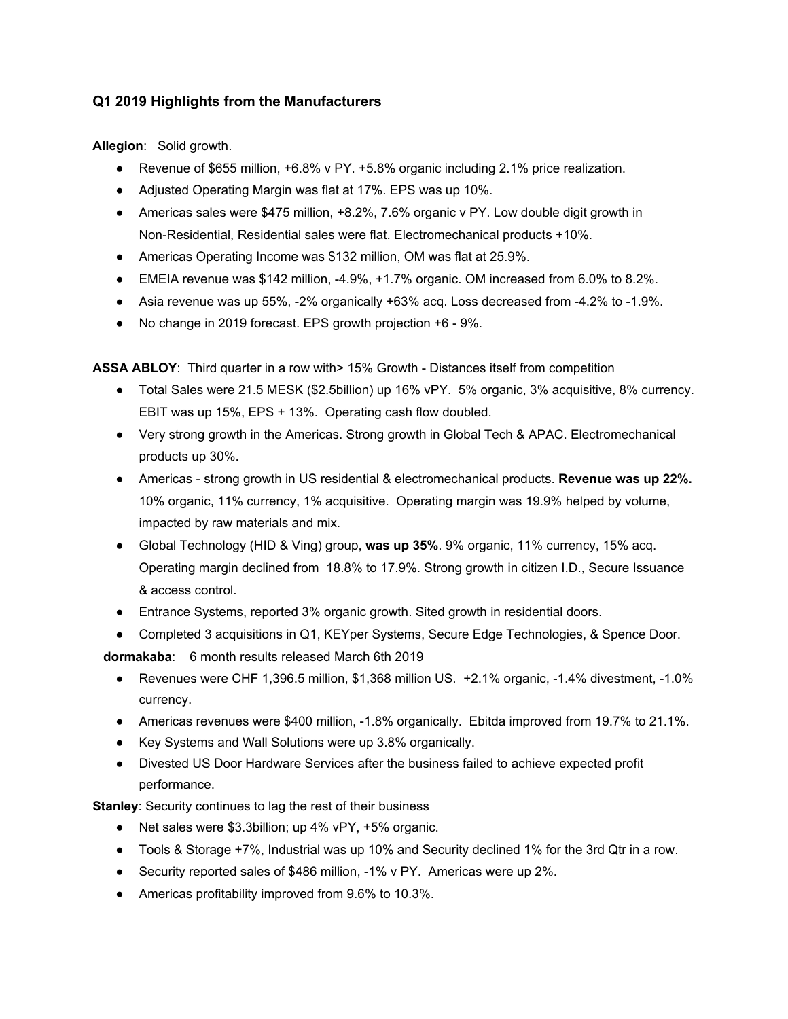## **Q1 2019 Highlights from the Manufacturers**

**Allegion**: Solid growth.

- Revenue of \$655 million, +6.8% v PY. +5.8% organic including 2.1% price realization.
- Adjusted Operating Margin was flat at 17%. EPS was up 10%.
- Americas sales were \$475 million, +8.2%, 7.6% organic v PY. Low double digit growth in Non-Residential, Residential sales were flat. Electromechanical products +10%.
- Americas Operating Income was \$132 million, OM was flat at 25.9%.
- $\bullet$  EMEIA revenue was \$142 million, -4.9%, +1.7% organic. OM increased from 6.0% to 8.2%.
- Asia revenue was up 55%, -2% organically +63% acq. Loss decreased from -4.2% to -1.9%.
- No change in 2019 forecast. EPS growth projection +6 9%.

**ASSA ABLOY**: Third quarter in a row with> 15% Growth - Distances itself from competition

- Total Sales were 21.5 MESK (\$2.5billion) up 16% vPY. 5% organic, 3% acquisitive, 8% currency. EBIT was up 15%, EPS + 13%. Operating cash flow doubled.
- Very strong growth in the Americas. Strong growth in Global Tech & APAC. Electromechanical products up 30%.
- Americas strong growth in US residential & electromechanical products. **Revenue was up 22%.** 10% organic, 11% currency, 1% acquisitive. Operating margin was 19.9% helped by volume, impacted by raw materials and mix.
- Global Technology (HID & Ving) group, **was up 35%**. 9% organic, 11% currency, 15% acq. Operating margin declined from 18.8% to 17.9%. Strong growth in citizen I.D., Secure Issuance & access control.
- Entrance Systems, reported 3% organic growth. Sited growth in residential doors.
- Completed 3 acquisitions in Q1, KEYper Systems, Secure Edge Technologies, & Spence Door.

**dormakaba**: 6 month results released March 6th 2019

- Revenues were CHF 1,396.5 million, \$1,368 million US. +2.1% organic, -1.4% divestment, -1.0% currency.
- Americas revenues were \$400 million, -1.8% organically. Ebitda improved from 19.7% to 21.1%.
- Key Systems and Wall Solutions were up 3.8% organically.
- Divested US Door Hardware Services after the business failed to achieve expected profit performance.

**Stanley**: Security continues to lag the rest of their business

- Net sales were \$3.3billion; up 4% vPY, +5% organic.
- Tools & Storage +7%, Industrial was up 10% and Security declined 1% for the 3rd Qtr in a row.
- Security reported sales of \$486 million, -1% v PY. Americas were up 2%.
- Americas profitability improved from 9.6% to 10.3%.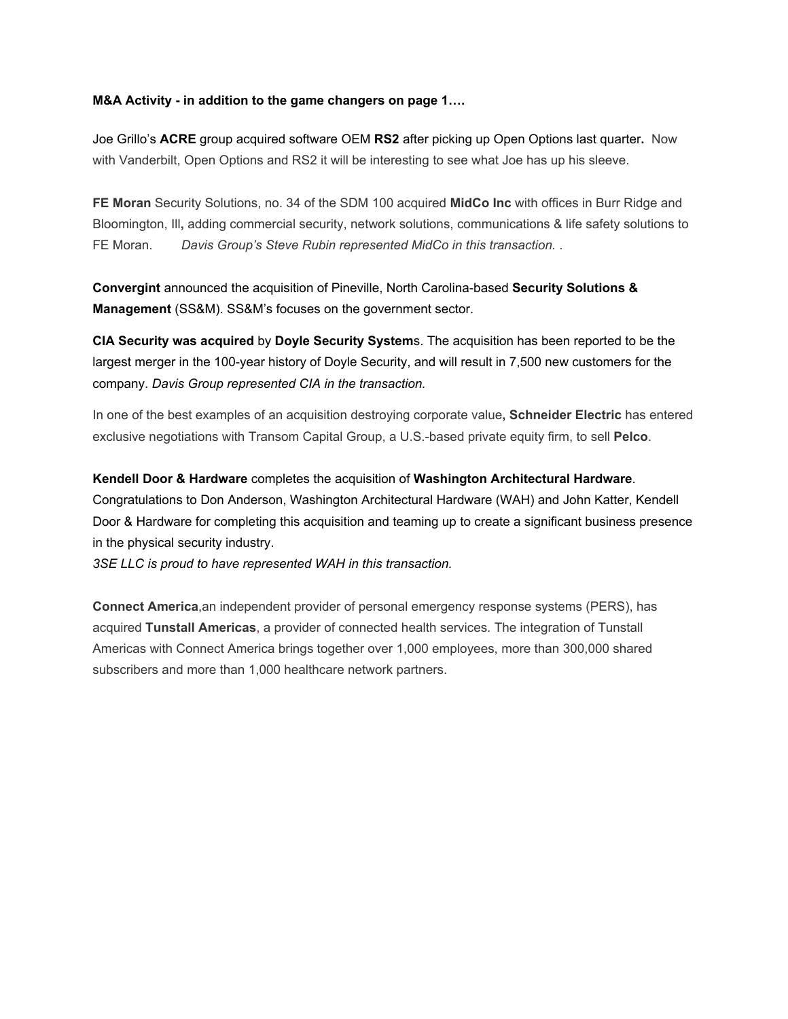#### **M&A Activity - in addition to the game changers on page 1….**

Joe Grillo's **ACRE** group acquired software OEM **RS2** after picking up Open Options last quarter**.** Now with Vanderbilt, Open Options and RS2 it will be interesting to see what Joe has up his sleeve.

**FE Moran** Security Solutions, no. 34 of the SDM 100 acquired **MidCo Inc** with offices in Burr Ridge and Bloomington, Ill**,** adding commercial security, network solutions, communications & life safety solutions to FE Moran. *Davis Group's Steve Rubin represented MidCo in this transaction.* .

**Convergint** announced the acquisition of Pineville, North Carolina-based **Security Solutions & Management** (SS&M). SS&M's focuses on the government sector.

**CIA Security was acquired** by **Doyle Security System**s. The acquisition has been reported to be the largest merger in the 100-year history of Doyle Security, and will result in 7,500 new customers for the company. *Davis Group represented CIA in the transaction.*

In one of the best examples of an acquisition destroying corporate value**, Schneider Electric** has entered exclusive negotiations with Transom Capital Group, a U.S.-based private equity firm, to sell **Pelco**.

**Kendell Door & Hardware** completes the acquisition of **Washington Architectural Hardware**. Congratulations to Don Anderson, Washington Architectural Hardware (WAH) and John Katter, Kendell Door & Hardware for completing this acquisition and teaming up to create a significant business presence in the physical security industry.

*3SE LLC is proud to have represented WAH in this transaction.*

**Connect America**,an independent provider of personal emergency response systems (PERS), has acquired **Tunstall Americas**[,](http://americas.tunstall.com/) a provider of connected health services. The integration of Tunstall Americas with Connect America brings together over 1,000 employees, more than 300,000 shared subscribers and more than 1,000 healthcare network partners.